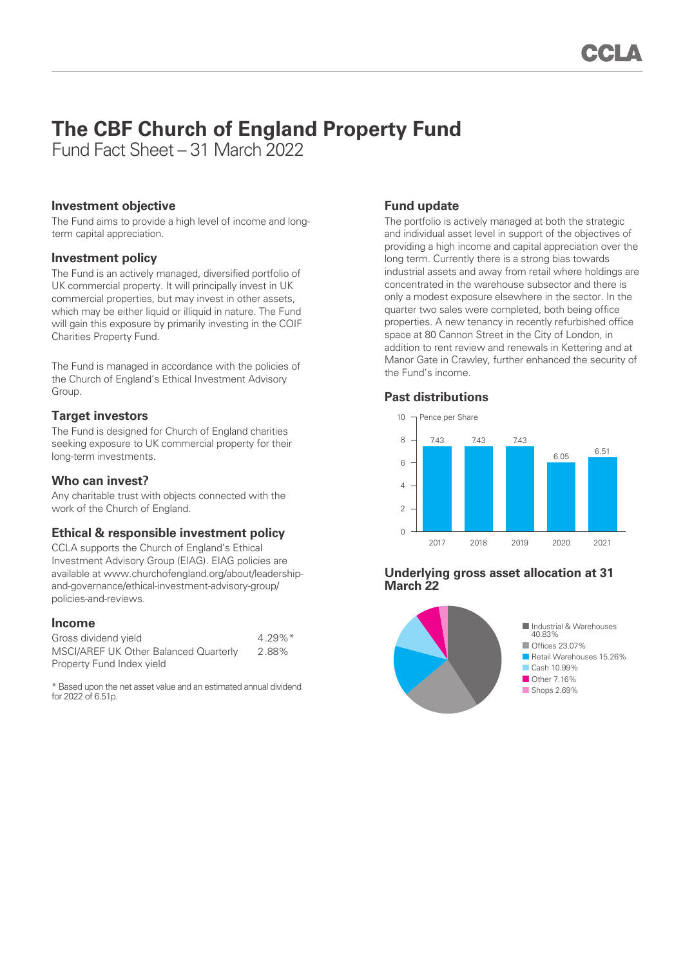# **The CBF Church of England Property Fund**

Fund Fact Sheet – 31 March 2022

## **Investment objective**

The Fund aims to provide a high level of income and longterm capital appreciation.

## **Investment policy**

The Fund is an actively managed, diversified portfolio of UK commercial property. It will principally invest in UK commercial properties, but may invest in other assets, which may be either liquid or illiquid in nature. The Fund will gain this exposure by primarily investing in the COIF Charities Property Fund.

The Fund is managed in accordance with the policies of the Church of England's Ethical Investment Advisory Group.

# **Target investors**

The Fund is designed for Church of England charities seeking exposure to UK commercial property for their long-term investments.

## **Who can invest?**

Any charitable trust with objects connected with the work of the Church of England.

# **Ethical & responsible investment policy**

CCLA supports the Church of England's Ethical Investment Advisory Group (EIAG). EIAG policies are available at www.churchofengland.org/about/leadershipand-governance/ethical-investment-advisory-group/ policies-and-reviews.

#### **Income**

| Gross dividend yield                  | $4.29\%$ <sup>*</sup> |
|---------------------------------------|-----------------------|
| MSCI/AREF UK Other Balanced Quarterly | 2.88%                 |
| Property Fund Index yield             |                       |

\* Based upon the net asset value and an estimated annual dividend for 2022 of 6.51p.

# **Fund update**

The portfolio is actively managed at both the strategic and individual asset level in support of the objectives of providing a high income and capital appreciation over the long term. Currently there is a strong bias towards industrial assets and away from retail where holdings are concentrated in the warehouse subsector and there is only a modest exposure elsewhere in the sector. In the quarter two sales were completed, both being office properties. A new tenancy in recently refurbished office space at 80 Cannon Street in the City of London, in addition to rent review and renewals in Kettering and at Manor Gate in Crawley, further enhanced the security of the Fund's income.

# **Past distributions**



## **Underlying gross asset allocation at 31 March 22**